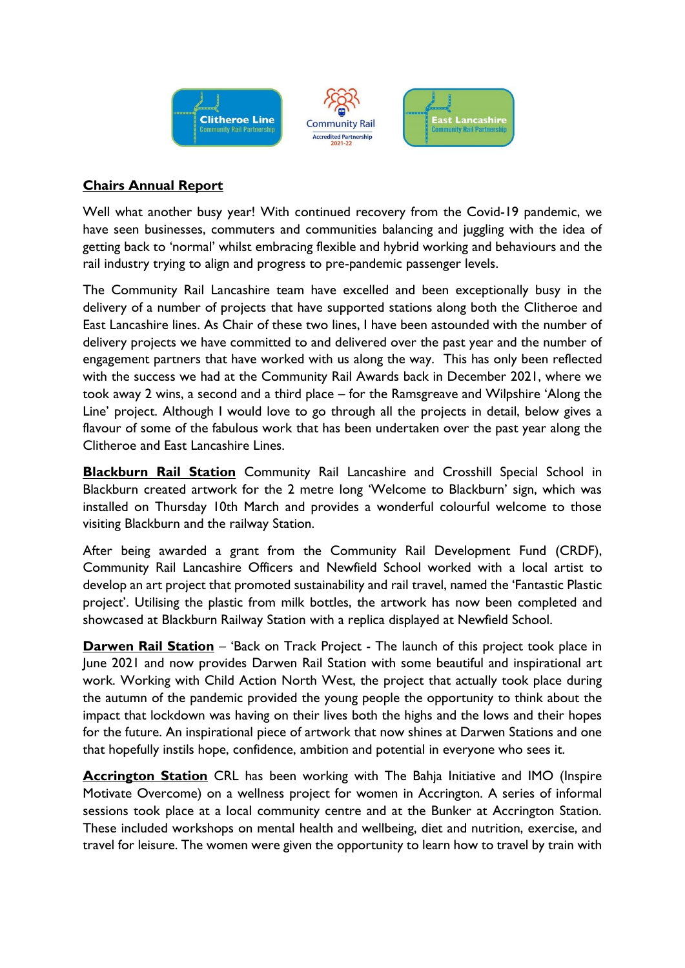

## **Chairs Annual Report**

Well what another busy year! With continued recovery from the Covid-19 pandemic, we have seen businesses, commuters and communities balancing and juggling with the idea of getting back to 'normal' whilst embracing flexible and hybrid working and behaviours and the rail industry trying to align and progress to pre-pandemic passenger levels.

The Community Rail Lancashire team have excelled and been exceptionally busy in the delivery of a number of projects that have supported stations along both the Clitheroe and East Lancashire lines. As Chair of these two lines, I have been astounded with the number of delivery projects we have committed to and delivered over the past year and the number of engagement partners that have worked with us along the way. This has only been reflected with the success we had at the Community Rail Awards back in December 2021, where we took away 2 wins, a second and a third place – for the Ramsgreave and Wilpshire 'Along the Line' project. Although I would love to go through all the projects in detail, below gives a flavour of some of the fabulous work that has been undertaken over the past year along the Clitheroe and East Lancashire Lines.

**Blackburn Rail Station** Community Rail Lancashire and Crosshill Special School in Blackburn created artwork for the 2 metre long 'Welcome to Blackburn' sign, which was installed on Thursday 10th March and provides a wonderful colourful welcome to those visiting Blackburn and the railway Station.

After being awarded a grant from the Community Rail Development Fund (CRDF), Community Rail Lancashire Officers and Newfield School worked with a local artist to develop an art project that promoted sustainability and rail travel, named the 'Fantastic Plastic project'. Utilising the plastic from milk bottles, the artwork has now been completed and showcased at Blackburn Railway Station with a replica displayed at Newfield School.

**Darwen Rail Station** – 'Back on Track Project - The launch of this project took place in June 2021 and now provides Darwen Rail Station with some beautiful and inspirational art work. Working with Child Action North West, the project that actually took place during the autumn of the pandemic provided the young people the opportunity to think about the impact that lockdown was having on their lives both the highs and the lows and their hopes for the future. An inspirational piece of artwork that now shines at Darwen Stations and one that hopefully instils hope, confidence, ambition and potential in everyone who sees it.

**Accrington Station** CRL has been working with The Bahja Initiative and IMO (Inspire Motivate Overcome) on a wellness project for women in Accrington. A series of informal sessions took place at a local community centre and at the Bunker at Accrington Station. These included workshops on mental health and wellbeing, diet and nutrition, exercise, and travel for leisure. The women were given the opportunity to learn how to travel by train with